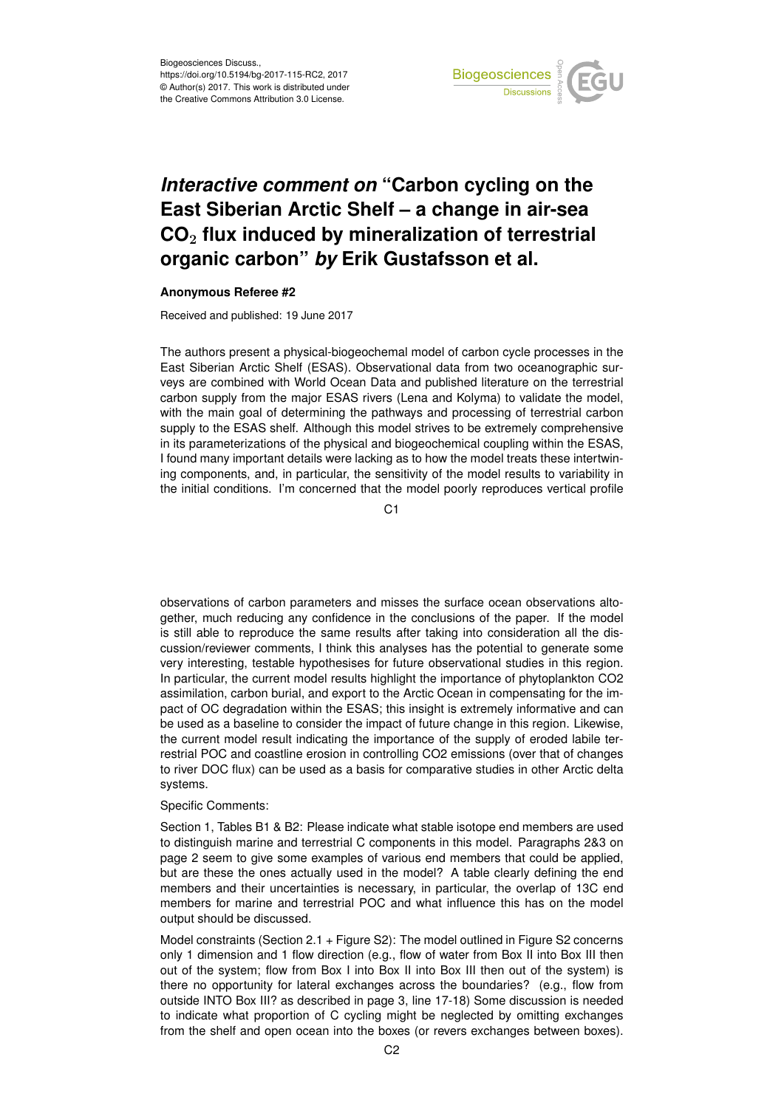

## *Interactive comment on* **"Carbon cycling on the East Siberian Arctic Shelf – a change in air-sea CO**<sup>2</sup> **flux induced by mineralization of terrestrial organic carbon"** *by* **Erik Gustafsson et al.**

## **Anonymous Referee #2**

Received and published: 19 June 2017

The authors present a physical-biogeochemal model of carbon cycle processes in the East Siberian Arctic Shelf (ESAS). Observational data from two oceanographic surveys are combined with World Ocean Data and published literature on the terrestrial carbon supply from the major ESAS rivers (Lena and Kolyma) to validate the model, with the main goal of determining the pathways and processing of terrestrial carbon supply to the ESAS shelf. Although this model strives to be extremely comprehensive in its parameterizations of the physical and biogeochemical coupling within the ESAS, I found many important details were lacking as to how the model treats these intertwining components, and, in particular, the sensitivity of the model results to variability in the initial conditions. I'm concerned that the model poorly reproduces vertical profile

C<sub>1</sub>

observations of carbon parameters and misses the surface ocean observations altogether, much reducing any confidence in the conclusions of the paper. If the model is still able to reproduce the same results after taking into consideration all the discussion/reviewer comments, I think this analyses has the potential to generate some very interesting, testable hypothesises for future observational studies in this region. In particular, the current model results highlight the importance of phytoplankton CO2 assimilation, carbon burial, and export to the Arctic Ocean in compensating for the impact of OC degradation within the ESAS; this insight is extremely informative and can be used as a baseline to consider the impact of future change in this region. Likewise, the current model result indicating the importance of the supply of eroded labile terrestrial POC and coastline erosion in controlling CO2 emissions (over that of changes to river DOC flux) can be used as a basis for comparative studies in other Arctic delta systems.

## Specific Comments:

Section 1, Tables B1 & B2: Please indicate what stable isotope end members are used to distinguish marine and terrestrial C components in this model. Paragraphs 2&3 on page 2 seem to give some examples of various end members that could be applied, but are these the ones actually used in the model? A table clearly defining the end members and their uncertainties is necessary, in particular, the overlap of 13C end members for marine and terrestrial POC and what influence this has on the model output should be discussed.

Model constraints (Section 2.1 + Figure S2): The model outlined in Figure S2 concerns only 1 dimension and 1 flow direction (e.g., flow of water from Box II into Box III then out of the system; flow from Box I into Box II into Box III then out of the system) is there no opportunity for lateral exchanges across the boundaries? (e.g., flow from outside INTO Box III? as described in page 3, line 17-18) Some discussion is needed to indicate what proportion of C cycling might be neglected by omitting exchanges from the shelf and open ocean into the boxes (or revers exchanges between boxes).